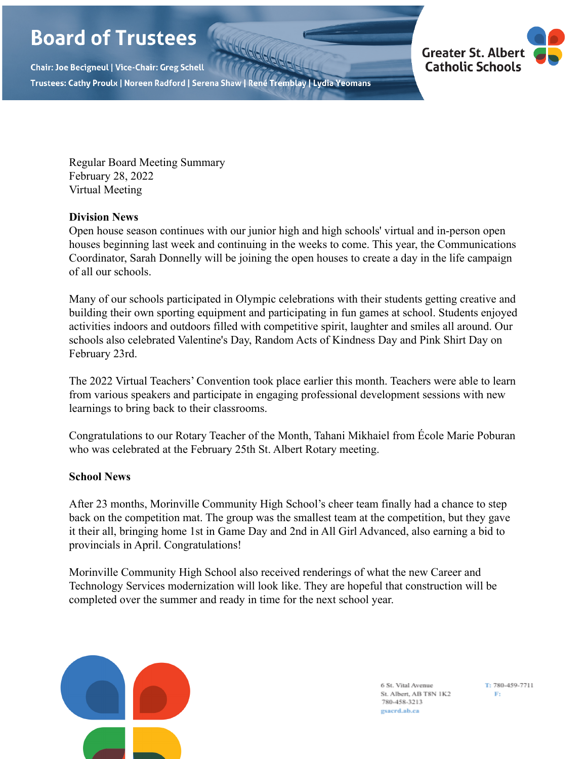# **Board of Trustees**

Chair: Joe Becigneul | Vice-Chair: Greg Schell Trustees: Cathy Proulx | Noreen Radford | Serena Shaw | René Tremblay | Lydia Yeomans



Regular Board Meeting Summary February 28, 2022 Virtual Meeting

## **Division News**

Open house season continues with our junior high and high schools' virtual and in-person open houses beginning last week and continuing in the weeks to come. This year, the Communications Coordinator, Sarah Donnelly will be joining the open houses to create a day in the life campaign of all our schools.

Many of our schools participated in Olympic celebrations with their students getting creative and building their own sporting equipment and participating in fun games at school. Students enjoyed activities indoors and outdoors filled with competitive spirit, laughter and smiles all around. Our schools also celebrated Valentine's Day, Random Acts of Kindness Day and Pink Shirt Day on February 23rd.

The 2022 Virtual Teachers' Convention took place earlier this month. Teachers were able to learn from various speakers and participate in engaging professional development sessions with new learnings to bring back to their classrooms.

Congratulations to our Rotary Teacher of the Month, Tahani Mikhaiel from École Marie Poburan who was celebrated at the February 25th St. Albert Rotary meeting.

# **School News**

After 23 months, Morinville Community High School's cheer team finally had a chance to step back on the competition mat. The group was the smallest team at the competition, but they gave it their all, bringing home 1st in Game Day and 2nd in All Girl Advanced, also earning a bid to provincials in April. Congratulations!

Morinville Community High School also received renderings of what the new Career and Technology Services modernization will look like. They are hopeful that construction will be completed over the summer and ready in time for the next school year.



6 St. Vital Avenue St. Albert, AB T8N 1K2 780-458-3213 gsacrd.ab.ca

T: 780-459-7711  $\rm{Fr}$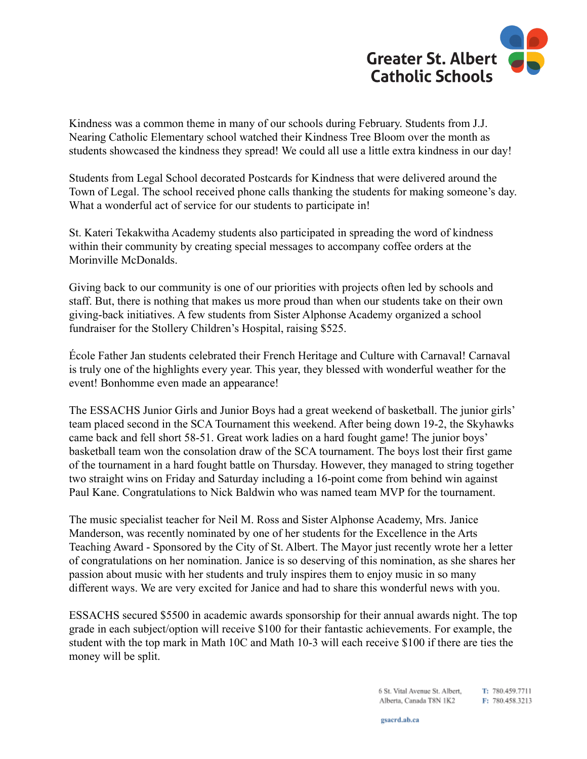

Kindness was a common theme in many of our schools during February. Students from J.J. Nearing Catholic Elementary school watched their Kindness Tree Bloom over the month as students showcased the kindness they spread! We could all use a little extra kindness in our day!

Students from Legal School decorated Postcards for Kindness that were delivered around the Town of Legal. The school received phone calls thanking the students for making someone's day. What a wonderful act of service for our students to participate in!

St. Kateri Tekakwitha Academy students also participated in spreading the word of kindness within their community by creating special messages to accompany coffee orders at the Morinville McDonalds.

Giving back to our community is one of our priorities with projects often led by schools and staff. But, there is nothing that makes us more proud than when our students take on their own giving-back initiatives. A few students from Sister Alphonse Academy organized a school fundraiser for the Stollery Children's Hospital, raising \$525.

École Father Jan students celebrated their French Heritage and Culture with Carnaval! Carnaval is truly one of the highlights every year. This year, they blessed with wonderful weather for the event! Bonhomme even made an appearance!

The ESSACHS Junior Girls and Junior Boys had a great weekend of basketball. The junior girls' team placed second in the SCA Tournament this weekend. After being down 19-2, the Skyhawks came back and fell short 58-51. Great work ladies on a hard fought game! The junior boys' basketball team won the consolation draw of the SCA tournament. The boys lost their first game of the tournament in a hard fought battle on Thursday. However, they managed to string together two straight wins on Friday and Saturday including a 16-point come from behind win against Paul Kane. Congratulations to Nick Baldwin who was named team MVP for the tournament.

The music specialist teacher for Neil M. Ross and Sister Alphonse Academy, Mrs. Janice Manderson, was recently nominated by one of her students for the Excellence in the Arts Teaching Award - Sponsored by the City of St. Albert. The Mayor just recently wrote her a letter of congratulations on her nomination. Janice is so deserving of this nomination, as she shares her passion about music with her students and truly inspires them to enjoy music in so many different ways. We are very excited for Janice and had to share this wonderful news with you.

ESSACHS secured \$5500 in academic awards sponsorship for their annual awards night. The top grade in each subject/option will receive \$100 for their fantastic achievements. For example, the student with the top mark in Math 10C and Math 10-3 will each receive \$100 if there are ties the money will be split.